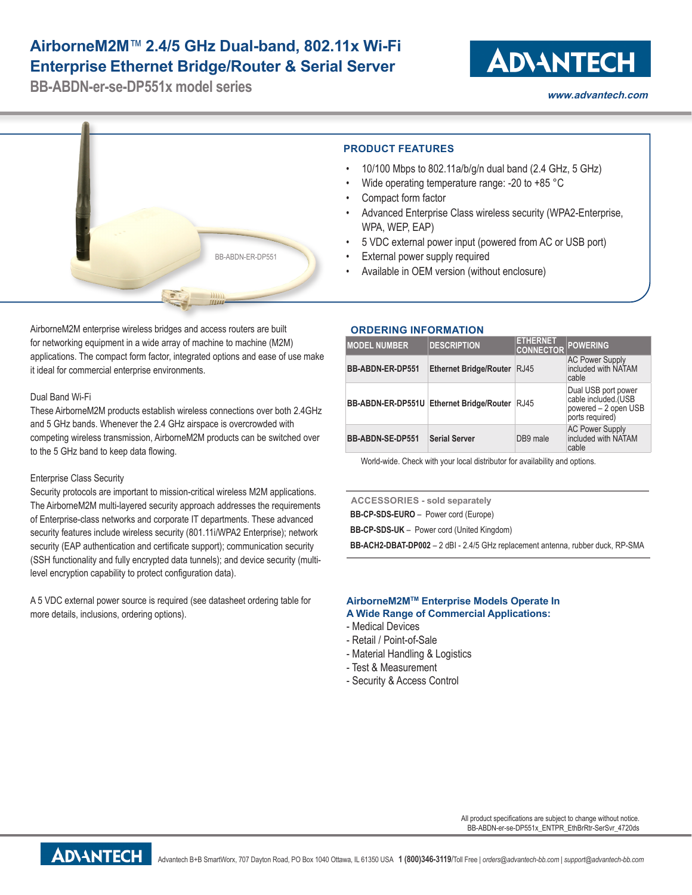## **AirborneM2M**™ **2.4/5 GHz Dual-band, 802.11x Wi-Fi Enterprise Ethernet Bridge/Router & Serial Server**

**BB-ABDN-er-se-DP551x model series**

# **ADVANTECH**

**www.advantech.com**



AirborneM2M enterprise wireless bridges and access routers are built for networking equipment in a wide array of machine to machine (M2M) applications. The compact form factor, integrated options and ease of use make it ideal for commercial enterprise environments.

#### Dual Band Wi-Fi

These AirborneM2M products establish wireless connections over both 2.4GHz and 5 GHz bands. Whenever the 2.4 GHz airspace is overcrowded with competing wireless transmission, AirborneM2M products can be switched over to the 5 GHz band to keep data flowing.

#### Enterprise Class Security

Security protocols are important to mission-critical wireless M2M applications. The AirborneM2M multi-layered security approach addresses the requirements of Enterprise-class networks and corporate IT departments. These advanced security features include wireless security (801.11i/WPA2 Enterprise); network security (EAP authentication and certificate support); communication security (SSH functionality and fully encrypted data tunnels); and device security (multilevel encryption capability to protect configuration data).

A 5 VDC external power source is required (see datasheet ordering table for more details, inclusions, ordering options).

### **ORDERING INFORMATION**

| <b>MODEL NUMBER</b>     | <b>DESCRIPTION</b>                       | <b>ETHERNET</b><br><b>CONNECTOR</b> | <b>POWERING</b>                                                                       |
|-------------------------|------------------------------------------|-------------------------------------|---------------------------------------------------------------------------------------|
| <b>BB-ABDN-ER-DP551</b> | <b>Ethernet Bridge/Router</b>            | RJ45                                | <b>AC Power Supply</b><br>included with NATAM<br>cable                                |
|                         | BB-ABDN-ER-DP551U Ethernet Bridge/Router | RJ45                                | Dual USB port power<br>cable included.(USB<br>powered – 2 open USB<br>ports required) |
| <b>BB-ABDN-SE-DP551</b> | <b>Serial Server</b>                     | DB9 male                            | AC Power Supply<br>included with NATAM<br>cable                                       |

World-wide. Check with your local distributor for availability and options.

**ACCESSORIES - sold separately BB-CP-SDS-EURO** – Power cord (Europe) **BB-CP-SDS-UK** – Power cord (United Kingdom)

**BB-ACH2-DBAT-DP002** – 2 dBI - 2.4/5 GHz replacement antenna, rubber duck, RP-SMA

#### **AirborneM2MTM Enterprise Models Operate In A Wide Range of Commercial Applications:**

- Medical Devices
- Retail / Point-of-Sale
- Material Handling & Logistics
- Test & Measurement
- Security & Access Control

All product specifications are subject to change without notice. BB-ABDN-er-se-DP551x\_ENTPR\_EthBrRtr-SerSvr\_4720ds